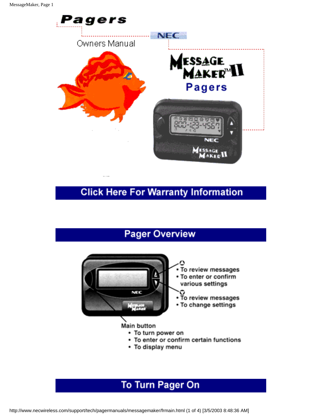

## **Click Here For Warranty Information**

## **Pager Overview**



- To enter or confirm certain functions
- To display menu

## **To Turn Pager On**

http://www.necwireless.com/support/tech/pagermanuals/messagemaker/frmain.html (1 of 4) [3/5/2003 8:48:36 AM]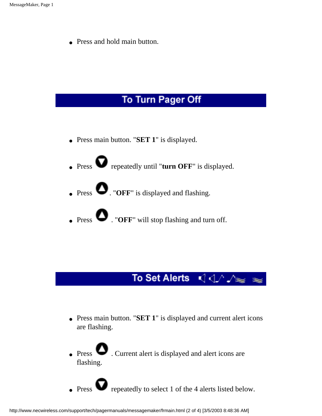• Press and hold main button.

#### To Turn Pager Off

- Press main button. "**SET 1**" is displayed.
- Press  $\bullet$  repeatedly until "**turn OFF**" is displayed.
- $\bullet$  Press  $\bullet$  . "OFF" is displayed and flashing.
- $\bullet$  Press  $\bullet$  . "OFF" will stop flashing and turn off.

## 

- Press main button. "**SET 1**" is displayed and current alert icons are flashing.
- Press  $\bullet$  . Current alert is displayed and alert icons are flashing.
- Press  $\bullet$  repeatedly to select 1 of the 4 alerts listed below.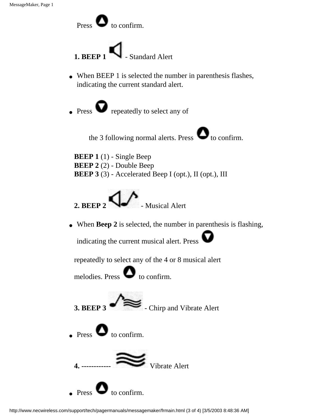